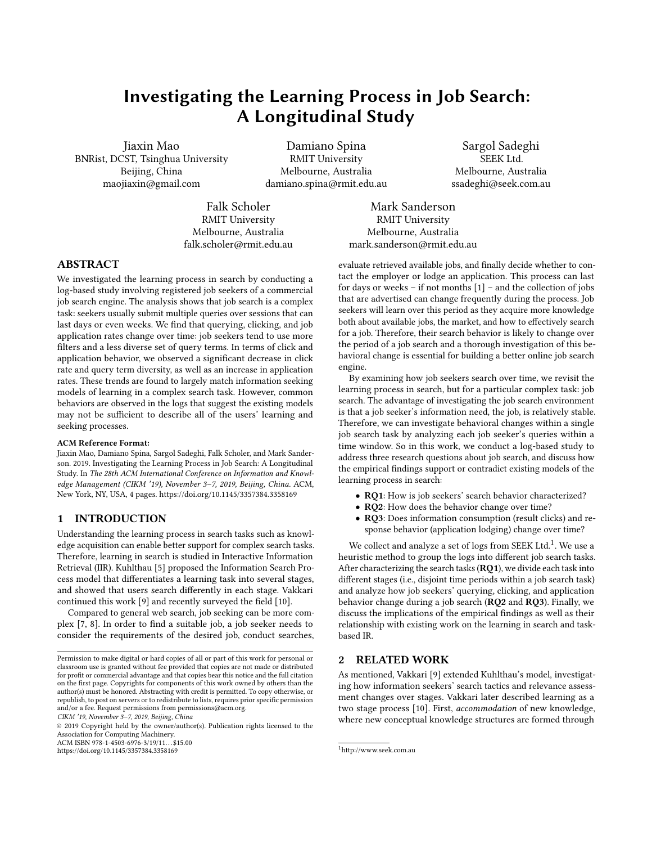# Investigating the Learning Process in Job Search: A Longitudinal Study

Jiaxin Mao BNRist, DCST, Tsinghua University Beijing, China maojiaxin@gmail.com

Damiano Spina RMIT University Melbourne, Australia damiano.spina@rmit.edu.au

Falk Scholer RMIT University Melbourne, Australia falk.scholer@rmit.edu.au

Sargol Sadeghi SEEK Ltd. Melbourne, Australia ssadeghi@seek.com.au

Mark Sanderson RMIT University Melbourne, Australia mark.sanderson@rmit.edu.au

### ABSTRACT

We investigated the learning process in search by conducting a log-based study involving registered job seekers of a commercial job search engine. The analysis shows that job search is a complex task: seekers usually submit multiple queries over sessions that can last days or even weeks. We find that querying, clicking, and job application rates change over time: job seekers tend to use more filters and a less diverse set of query terms. In terms of click and application behavior, we observed a significant decrease in click rate and query term diversity, as well as an increase in application rates. These trends are found to largely match information seeking models of learning in a complex search task. However, common behaviors are observed in the logs that suggest the existing models may not be sufficient to describe all of the users' learning and seeking processes.

#### ACM Reference Format:

Jiaxin Mao, Damiano Spina, Sargol Sadeghi, Falk Scholer, and Mark Sanderson. 2019. Investigating the Learning Process in Job Search: A Longitudinal Study. In The 28th ACM International Conference on Information and Knowledge Management (CIKM '19), November 3–7, 2019, Beijing, China. ACM, New York, NY, USA, [4](#page-3-0) pages.<https://doi.org/10.1145/3357384.3358169>

### 1 INTRODUCTION

Understanding the learning process in search tasks such as knowledge acquisition can enable better support for complex search tasks. Therefore, learning in search is studied in Interactive Information Retrieval (IIR). Kuhlthau [\[5\]](#page-3-1) proposed the Information Search Process model that differentiates a learning task into several stages, and showed that users search differently in each stage. Vakkari continued this work [\[9\]](#page-3-2) and recently surveyed the field [\[10\]](#page-3-3).

Compared to general web search, job seeking can be more complex [\[7,](#page-3-4) [8\]](#page-3-5). In order to find a suitable job, a job seeker needs to consider the requirements of the desired job, conduct searches,

© 2019 Copyright held by the owner/author(s). Publication rights licensed to the Association for Computing Machinery. ACM ISBN 978-1-4503-6976-3/19/11...\$15.00

<https://doi.org/10.1145/3357384.3358169>

for a job. Therefore, their search behavior is likely to change over the period of a job search and a thorough investigation of this behavioral change is essential for building a better online job search engine. By examining how job seekers search over time, we revisit the learning process in search, but for a particular complex task: job search. The advantage of investigating the job search environment is that a job seeker's information need, the job, is relatively stable. Therefore, we can investigate behavioral changes within a single job search task by analyzing each job seeker's queries within a time window. So in this work, we conduct a log-based study to

evaluate retrieved available jobs, and finally decide whether to contact the employer or lodge an application. This process can last for days or weeks – if not months [\[1\]](#page-3-6) – and the collection of jobs that are advertised can change frequently during the process. Job seekers will learn over this period as they acquire more knowledge both about available jobs, the market, and how to effectively search

address three research questions about job search, and discuss how the empirical findings support or contradict existing models of the learning process in search:

- RQ1: How is job seekers' search behavior characterized?
- RQ2: How does the behavior change over time?
- RQ3: Does information consumption (result clicks) and response behavior (application lodging) change over time?

We collect and analyze a set of logs from SEEK Ltd. $^1$  $^1$ . We use a heuristic method to group the logs into different job search tasks. After characterizing the search tasks (RQ1), we divide each task into different stages (i.e., disjoint time periods within a job search task) and analyze how job seekers' querying, clicking, and application behavior change during a job search (RQ2 and RQ3). Finally, we discuss the implications of the empirical findings as well as their relationship with existing work on the learning in search and taskbased IR.

### 2 RELATED WORK

As mentioned, Vakkari [\[9\]](#page-3-2) extended Kuhlthau's model, investigating how information seekers' search tactics and relevance assessment changes over stages. Vakkari later described learning as a two stage process [\[10\]](#page-3-3). First, accommodation of new knowledge, where new conceptual knowledge structures are formed through

Permission to make digital or hard copies of all or part of this work for personal or classroom use is granted without fee provided that copies are not made or distributed for profit or commercial advantage and that copies bear this notice and the full citation on the first page. Copyrights for components of this work owned by others than the author(s) must be honored. Abstracting with credit is permitted. To copy otherwise, or republish, to post on servers or to redistribute to lists, requires prior specific permission and/or a fee. Request permissions from permissions@acm.org. CIKM '19, November 3–7, 2019, Beijing, China

<span id="page-0-0"></span> $^{\rm 1}$ <http://www.seek.com.au>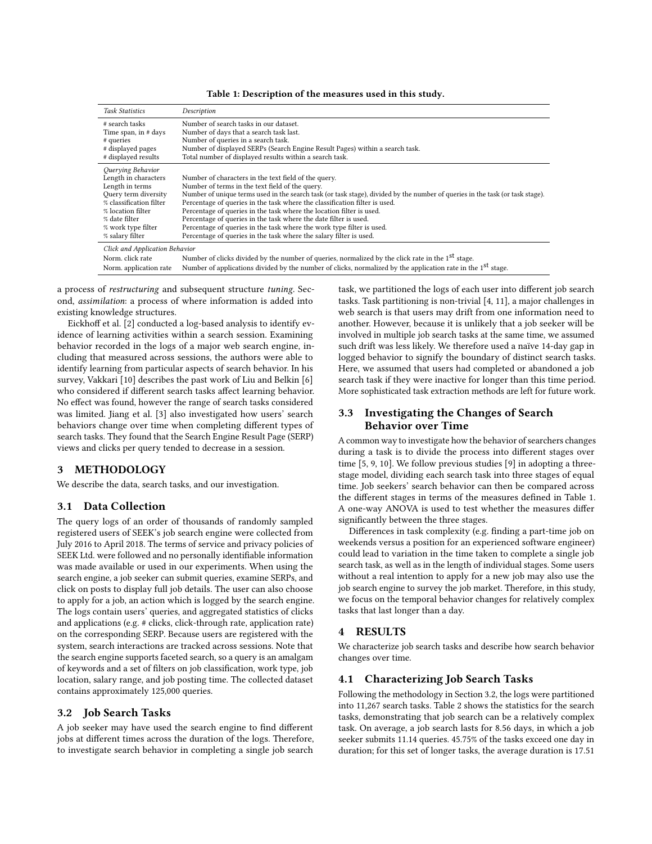| Table 1: Description of the measures used in this study. |  |
|----------------------------------------------------------|--|
|----------------------------------------------------------|--|

<span id="page-1-0"></span>

| <b>Task Statistics</b>                                                                                                                                                                         | Description                                                                                                                                                                                                                                                                                                                                                                                                                                                                                                                                                                                                       |
|------------------------------------------------------------------------------------------------------------------------------------------------------------------------------------------------|-------------------------------------------------------------------------------------------------------------------------------------------------------------------------------------------------------------------------------------------------------------------------------------------------------------------------------------------------------------------------------------------------------------------------------------------------------------------------------------------------------------------------------------------------------------------------------------------------------------------|
| # search tasks<br>Time span, in # days<br># queries<br># displayed pages<br># displayed results                                                                                                | Number of search tasks in our dataset.<br>Number of days that a search task last.<br>Number of queries in a search task.<br>Number of displayed SERPs (Search Engine Result Pages) within a search task.<br>Total number of displayed results within a search task.                                                                                                                                                                                                                                                                                                                                               |
| Querying Behavior<br>Length in characters<br>Length in terms<br>Ouery term diversity<br>% classification filter<br>% location filter<br>% date filter<br>% work type filter<br>% salary filter | Number of characters in the text field of the query.<br>Number of terms in the text field of the query.<br>Number of unique terms used in the search task (or task stage), divided by the number of queries in the task (or task stage).<br>Percentage of queries in the task where the classification filter is used.<br>Percentage of queries in the task where the location filter is used.<br>Percentage of queries in the task where the date filter is used.<br>Percentage of queries in the task where the work type filter is used.<br>Percentage of queries in the task where the salary filter is used. |
| Click and Application Behavior<br>Norm, click rate<br>Norm. application rate                                                                                                                   | Number of clicks divided by the number of queries, normalized by the click rate in the 1 <sup>st</sup> stage.<br>Number of applications divided by the number of clicks, normalized by the application rate in the 1 <sup>st</sup> stage.                                                                                                                                                                                                                                                                                                                                                                         |

a process of restructuring and subsequent structure tuning. Second, assimilation: a process of where information is added into existing knowledge structures.

Eickhoff et al. [\[2\]](#page-3-7) conducted a log-based analysis to identify evidence of learning activities within a search session. Examining behavior recorded in the logs of a major web search engine, including that measured across sessions, the authors were able to identify learning from particular aspects of search behavior. In his survey, Vakkari [\[10\]](#page-3-3) describes the past work of Liu and Belkin [\[6\]](#page-3-8) who considered if different search tasks affect learning behavior. No effect was found, however the range of search tasks considered was limited. Jiang et al. [\[3\]](#page-3-9) also investigated how users' search behaviors change over time when completing different types of search tasks. They found that the Search Engine Result Page (SERP) views and clicks per query tended to decrease in a session.

### 3 METHODOLOGY

We describe the data, search tasks, and our investigation.

### 3.1 Data Collection

The query logs of an order of thousands of randomly sampled registered users of SEEK's job search engine were collected from July 2016 to April 2018. The terms of service and privacy policies of SEEK Ltd. were followed and no personally identifiable information was made available or used in our experiments. When using the search engine, a job seeker can submit queries, examine SERPs, and click on posts to display full job details. The user can also choose to apply for a job, an action which is logged by the search engine. The logs contain users' queries, and aggregated statistics of clicks and applications (e.g. # clicks, click-through rate, application rate) on the corresponding SERP. Because users are registered with the system, search interactions are tracked across sessions. Note that the search engine supports faceted search, so a query is an amalgam of keywords and a set of filters on job classification, work type, job location, salary range, and job posting time. The collected dataset contains approximately 125,000 queries.

### <span id="page-1-1"></span>3.2 Job Search Tasks

A job seeker may have used the search engine to find different jobs at different times across the duration of the logs. Therefore, to investigate search behavior in completing a single job search

task, we partitioned the logs of each user into different job search tasks. Task partitioning is non-trivial [\[4,](#page-3-10) [11\]](#page-3-11), a major challenges in web search is that users may drift from one information need to another. However, because it is unlikely that a job seeker will be involved in multiple job search tasks at the same time, we assumed such drift was less likely. We therefore used a naïve 14-day gap in logged behavior to signify the boundary of distinct search tasks. Here, we assumed that users had completed or abandoned a job search task if they were inactive for longer than this time period. More sophisticated task extraction methods are left for future work.

# 3.3 Investigating the Changes of Search Behavior over Time

A common way to investigate how the behavior of searchers changes during a task is to divide the process into different stages over time [\[5,](#page-3-1) [9,](#page-3-2) [10\]](#page-3-3). We follow previous studies [\[9\]](#page-3-2) in adopting a threestage model, dividing each search task into three stages of equal time. Job seekers' search behavior can then be compared across the different stages in terms of the measures defined in Table [1.](#page-1-0) A one-way ANOVA is used to test whether the measures differ significantly between the three stages.

Differences in task complexity (e.g. finding a part-time job on weekends versus a position for an experienced software engineer) could lead to variation in the time taken to complete a single job search task, as well as in the length of individual stages. Some users without a real intention to apply for a new job may also use the job search engine to survey the job market. Therefore, in this study, we focus on the temporal behavior changes for relatively complex tasks that last longer than a day.

### 4 RESULTS

We characterize job search tasks and describe how search behavior changes over time.

### 4.1 Characterizing Job Search Tasks

Following the methodology in Section [3.2,](#page-1-1) the logs were partitioned into 11,267 search tasks. Table [2](#page-2-0) shows the statistics for the search tasks, demonstrating that job search can be a relatively complex task. On average, a job search lasts for 8.56 days, in which a job seeker submits 11.14 queries. 45.75% of the tasks exceed one day in duration; for this set of longer tasks, the average duration is 17.51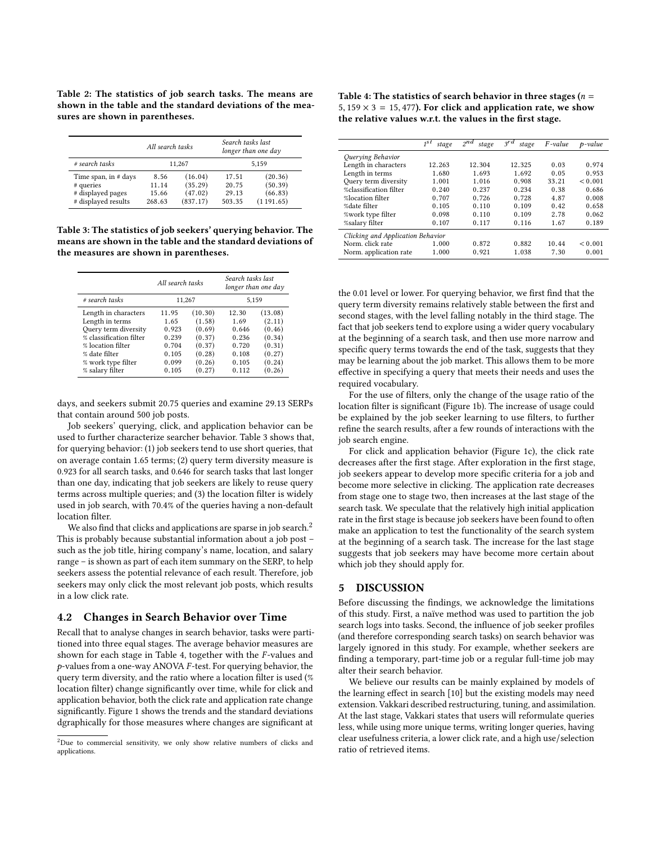<span id="page-2-0"></span>Table 2: The statistics of job search tasks. The means are shown in the table and the standard deviations of the measures are shown in parentheses.

|                      | All search tasks |          | Search tasks last | longer than one $day$ |  |
|----------------------|------------------|----------|-------------------|-----------------------|--|
| # search tasks       | 11.267           |          | 5.159             |                       |  |
| Time span, in # days | 8.56             | (16.04)  | 17.51             | (20.36)               |  |
| # queries            | 11.14            | (35.29)  | 20.75             | (50.39)               |  |
| # displayed pages    | 15.66            | (47.02)  | 29 13             | (66.83)               |  |
| # displayed results  | 268.63           | (837.17) | 503.35            | (1191.65)             |  |

<span id="page-2-1"></span>Table 3: The statistics of job seekers' querying behavior. The means are shown in the table and the standard deviations of the measures are shown in parentheses.

|                         | All search tasks |         | Search tasks last<br>longer than one day |         |  |
|-------------------------|------------------|---------|------------------------------------------|---------|--|
| # search tasks          | 11,267           |         | 5.159                                    |         |  |
| Length in characters    | 11.95            | (10.30) | 12.30                                    | (13.08) |  |
| Length in terms         | 1.65             | (1.58)  | 1.69                                     | (2.11)  |  |
| Ouery term diversity    | 0.923            | (0.69)  | 0.646                                    | (0.46)  |  |
| % classification filter | 0 239            | (0.37)  | 0.236                                    | (0.34)  |  |
| % location filter       | 0.704            | (0.37)  | 0.720                                    | (0.31)  |  |
| % date filter           | 0.105            | (0.28)  | 0.108                                    | (0.27)  |  |
| % work type filter      | 0.099            | (0.26)  | 0.105                                    | (0.24)  |  |
| % salary filter         | 0.105            | (0.27)  | 0.112                                    | (0.26)  |  |

days, and seekers submit 20.75 queries and examine 29.13 SERPs that contain around 500 job posts.

Job seekers' querying, click, and application behavior can be used to further characterize searcher behavior. Table [3](#page-2-1) shows that, for querying behavior: (1) job seekers tend to use short queries, that on average contain 1.65 terms; (2) query term diversity measure is 0.923 for all search tasks, and 0.646 for search tasks that last longer than one day, indicating that job seekers are likely to reuse query terms across multiple queries; and (3) the location filter is widely used in job search, with 70.4% of the queries having a non-default location filter.

We also find that clicks and applications are sparse in job search.<sup>[2](#page-2-2)</sup> This is probably because substantial information about a job post – such as the job title, hiring company's name, location, and salary range – is shown as part of each item summary on the SERP, to help seekers assess the potential relevance of each result. Therefore, job seekers may only click the most relevant job posts, which results in a low click rate.

### 4.2 Changes in Search Behavior over Time

Recall that to analyse changes in search behavior, tasks were partitioned into three equal stages. The average behavior measures are shown for each stage in Table [4,](#page-2-3) together with the F-values and  $p$ -values from a one-way ANOVA  $F$ -test. For querying behavior, the query term diversity, and the ratio where a location filter is used (% location filter) change significantly over time, while for click and application behavior, both the click rate and application rate change significantly. Figure [1](#page-3-12) shows the trends and the standard deviations dgraphically for those measures where changes are significant at

<span id="page-2-3"></span>Table 4: The statistics of search behavior in three stages ( $n =$ 5,  $159 \times 3 = 15,477$ ). For click and application rate, we show the relative values w.r.t. the values in the first stage.

|                                   | 5 <sub>1</sub><br>stage | $2^{nd}$<br>stage | $3^{rd}$<br>stage | $F-value$ | $p$ -value |  |  |
|-----------------------------------|-------------------------|-------------------|-------------------|-----------|------------|--|--|
| Querying Behavior                 |                         |                   |                   |           |            |  |  |
| Length in characters              | 12.263                  | 12.304            | 12.325            | 0.03      | 0.974      |  |  |
| Length in terms                   | 1.680                   | 1.693             | 1.692             | 0.05      | 0.953      |  |  |
| Query term diversity              | 1.001                   | 1.016             | 0.908             | 33.21     | < 0.001    |  |  |
| %classification filter            | 0.240                   | 0.237             | 0.234             | 0.38      | 0.686      |  |  |
| %location filter                  | 0.707                   | 0.726             | 0.728             | 4.87      | 0.008      |  |  |
| %date filter                      | 0.105                   | 0.110             | 0.109             | 0.42      | 0.658      |  |  |
| %work type filter                 | 0.098                   | 0.110             | 0.109             | 2.78      | 0.062      |  |  |
| %salary filter                    | 0.107                   | 0.117             | 0.116             | 1.67      | 0.189      |  |  |
| Clicking and Application Behavior |                         |                   |                   |           |            |  |  |
| Norm, click rate                  | 1.000                   | 0.872             | 0.882             | 10.44     | < 0.001    |  |  |
| Norm. application rate            | 1.000                   | 0.921             | 1.038             | 7.30      | 0.001      |  |  |
|                                   |                         |                   |                   |           |            |  |  |

the 0.01 level or lower. For querying behavior, we first find that the query term diversity remains relatively stable between the first and second stages, with the level falling notably in the third stage. The fact that job seekers tend to explore using a wider query vocabulary at the beginning of a search task, and then use more narrow and specific query terms towards the end of the task, suggests that they may be learning about the job market. This allows them to be more effective in specifying a query that meets their needs and uses the required vocabulary.

For the use of filters, only the change of the usage ratio of the location filter is significant (Figure [1b\)](#page-3-13). The increase of usage could be explained by the job seeker learning to use filters, to further refine the search results, after a few rounds of interactions with the job search engine.

For click and application behavior (Figure [1c\)](#page-3-14), the click rate decreases after the first stage. After exploration in the first stage, job seekers appear to develop more specific criteria for a job and become more selective in clicking. The application rate decreases from stage one to stage two, then increases at the last stage of the search task. We speculate that the relatively high initial application rate in the first stage is because job seekers have been found to often make an application to test the functionality of the search system at the beginning of a search task. The increase for the last stage suggests that job seekers may have become more certain about which job they should apply for.

### 5 DISCUSSION

Before discussing the findings, we acknowledge the limitations of this study. First, a naïve method was used to partition the job search logs into tasks. Second, the influence of job seeker profiles (and therefore corresponding search tasks) on search behavior was largely ignored in this study. For example, whether seekers are finding a temporary, part-time job or a regular full-time job may alter their search behavior.

We believe our results can be mainly explained by models of the learning effect in search [\[10\]](#page-3-3) but the existing models may need extension. Vakkari described restructuring, tuning, and assimilation. At the last stage, Vakkari states that users will reformulate queries less, while using more unique terms, writing longer queries, having clear usefulness criteria, a lower click rate, and a high use/selection ratio of retrieved items.

<span id="page-2-2"></span><sup>2</sup>Due to commercial sensitivity, we only show relative numbers of clicks and applications.